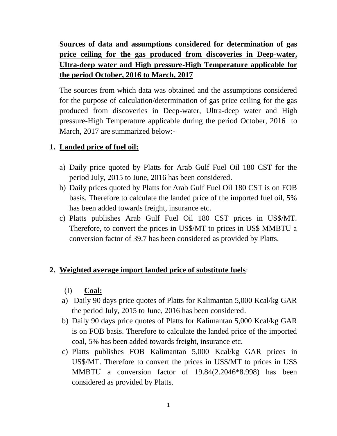**Sources of data and assumptions considered for determination of gas price ceiling for the gas produced from discoveries in Deep-water, Ultra-deep water and High pressure-High Temperature applicable for the period October, 2016 to March, 2017**

The sources from which data was obtained and the assumptions considered for the purpose of calculation/determination of gas price ceiling for the gas produced from discoveries in Deep-water, Ultra-deep water and High pressure-High Temperature applicable during the period October, 2016 to March, 2017 are summarized below:-

# **1. Landed price of fuel oil:**

- a) Daily price quoted by Platts for Arab Gulf Fuel Oil 180 CST for the period July, 2015 to June, 2016 has been considered.
- b) Daily prices quoted by Platts for Arab Gulf Fuel Oil 180 CST is on FOB basis. Therefore to calculate the landed price of the imported fuel oil, 5% has been added towards freight, insurance etc.
- c) Platts publishes Arab Gulf Fuel Oil 180 CST prices in US\$/MT. Therefore, to convert the prices in US\$/MT to prices in US\$ MMBTU a conversion factor of 39.7 has been considered as provided by Platts.

# **2. Weighted average import landed price of substitute fuels**:

- (I) **Coal:**
- a) Daily 90 days price quotes of Platts for Kalimantan 5,000 Kcal/kg GAR the period July, 2015 to June, 2016 has been considered.
- b) Daily 90 days price quotes of Platts for Kalimantan 5,000 Kcal/kg GAR is on FOB basis. Therefore to calculate the landed price of the imported coal, 5% has been added towards freight, insurance etc.
- c) Platts publishes FOB Kalimantan 5,000 Kcal/kg GAR prices in US\$/MT. Therefore to convert the prices in US\$/MT to prices in US\$ MMBTU a conversion factor of 19.84(2.2046\*8.998) has been considered as provided by Platts.